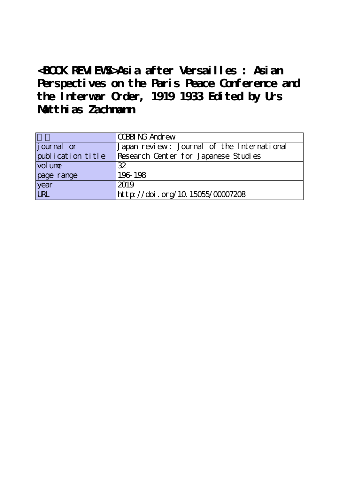**<BOOK REVIEWS>Asia after Versailles : Asian Perspectives on the Paris Peace Conference and the Interwar Order, 1919 1933 Edited by Urs Matthias Zachmann**

|                   | CCBBING Andrew                             |
|-------------------|--------------------------------------------|
| journal or        | Japan review: Journal of the International |
| publication title | Research Center for Japanese Studies       |
| vol une           | 32                                         |
| page range        | 196-198                                    |
| year              | 2019                                       |
| URL               | http://doi.org/10.15055/00007208           |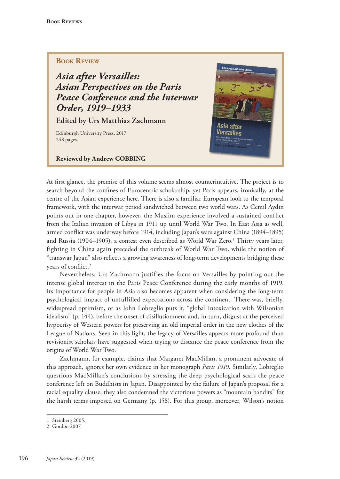# **BOOK REVIEW**

*Asia after Versailles: Asian Perspectives on the Paris Peace Conference and the Interwar Order, 1919–1933* 

**Edited by Urs Matthias Zachmann**

Edinburgh University Press, 2017 248 pages.

#### **Reviewed by Andrew COBBING**



At first glance, the premise of this volume seems almost counterintuitive. The project is to search beyond the confines of Eurocentric scholarship, yet Paris appears, ironically, at the centre of the Asian experience here. There is also a familiar European look to the temporal framework, with the interwar period sandwiched between two world wars. As Cemil Aydin points out in one chapter, however, the Muslim experience involved a sustained conflict from the Italian invasion of Libya in 1911 up until World War Two. In East Asia as well, armed conflict was underway before 1914, including Japan's wars against China (1894–1895) and Russia (1904–1905), a contest even described as World War Zero.<sup>1</sup> Thirty years later, fighting in China again preceded the outbreak of World War Two, while the notion of "transwar Japan" also reflects a growing awareness of long-term developments bridging these years of conflict.<sup>2</sup>

Nevertheless, Urs Zachmann justifies the focus on Versailles by pointing out the intense global interest in the Paris Peace Conference during the early months of 1919. Its importance for people in Asia also becomes apparent when considering the long-term psychological impact of unfulfilled expectations across the continent. There was, briefly, widespread optimism, or as John Lobreglio puts it, "global intoxication with Wilsonian idealism" (p. 144), before the onset of disillusionment and, in turn, disgust at the perceived hypocrisy of Western powers for preserving an old imperial order in the new clothes of the League of Nations. Seen in this light, the legacy of Versailles appears more profound than revisionist scholars have suggested when trying to distance the peace conference from the origins of World War Two.

Zachmann, for example, claims that Margaret MacMillan, a prominent advocate of this approach, ignores her own evidence in her monograph *Paris 1919*. Similarly, Lobreglio questions MacMillan's conclusions by stressing the deep psychological scars the peace conference left on Buddhists in Japan. Disappointed by the failure of Japan's proposal for a racial equality clause, they also condemned the victorious powers as "mountain bandits" for the harsh terms imposed on Germany (p. 158). For this group, moreover, Wilson's notion

<sup>1</sup> Steinberg 2005.

<sup>2</sup> Gordon 2007.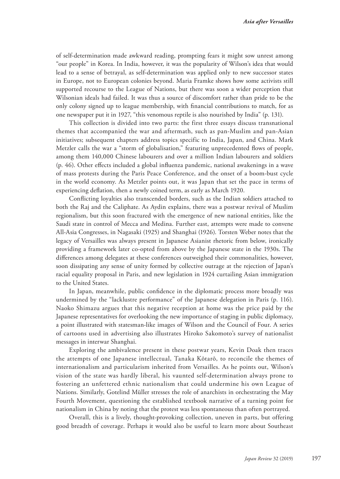of self-determination made awkward reading, prompting fears it might sow unrest among "our people" in Korea. In India, however, it was the popularity of Wilson's idea that would lead to a sense of betrayal, as self-determination was applied only to new successor states in Europe, not to European colonies beyond. Maria Framke shows how some activists still supported recourse to the League of Nations, but there was soon a wider perception that Wilsonian ideals had failed. It was thus a source of discomfort rather than pride to be the only colony signed up to league membership, with financial contributions to match, for as one newspaper put it in 1927, "this venomous reptile is also nourished by India" (p. 131).

This collection is divided into two parts: the first three essays discuss transnational themes that accompanied the war and aftermath, such as pan-Muslim and pan-Asian initiatives; subsequent chapters address topics specific to India, Japan, and China. Mark Metzler calls the war a "storm of globalisation," featuring unprecedented flows of people, among them 140,000 Chinese labourers and over a million Indian labourers and soldiers (p. 46). Other effects included a global influenza pandemic, national awakenings in a wave of mass protests during the Paris Peace Conference, and the onset of a boom-bust cycle in the world economy. As Metzler points out, it was Japan that set the pace in terms of experiencing deflation, then a newly coined term, as early as March 1920.

Conflicting loyalties also transcended borders, such as the Indian soldiers attached to both the Raj and the Caliphate. As Aydin explains, there was a postwar revival of Muslim regionalism, but this soon fractured with the emergence of new national entities, like the Saudi state in control of Mecca and Medina. Further east, attempts were made to convene All-Asia Congresses, in Nagasaki (1925) and Shanghai (1926). Torsten Weber notes that the legacy of Versailles was always present in Japanese Asianist rhetoric from below, ironically providing a framework later co-opted from above by the Japanese state in the 1930s. The differences among delegates at these conferences outweighed their commonalities, however, soon dissipating any sense of unity formed by collective outrage at the rejection of Japan's racial equality proposal in Paris, and new legislation in 1924 curtailing Asian immigration to the United States.

In Japan, meanwhile, public confidence in the diplomatic process more broadly was undermined by the "lacklustre performance" of the Japanese delegation in Paris (p. 116). Naoko Shimazu argues that this negative reception at home was the price paid by the Japanese representatives for overlooking the new importance of staging in public diplomacy, a point illustrated with statesman-like images of Wilson and the Council of Four. A series of cartoons used in advertising also illustrates Hiroko Sakomoto's survey of nationalist messages in interwar Shanghai.

Exploring the ambivalence present in these postwar years, Kevin Doak then traces the attempts of one Japanese intellectual, Tanaka Kōtarō, to reconcile the themes of internationalism and particularism inherited from Versailles. As he points out, Wilson's vision of the state was hardly liberal, his vaunted self-determination always prone to fostering an unfettered ethnic nationalism that could undermine his own League of Nations. Similarly, Gotelind Müller stresses the role of anarchists in orchestrating the May Fourth Movement, questioning the established textbook narrative of a turning point for nationalism in China by noting that the protest was less spontaneous than often portrayed.

Overall, this is a lively, thought-provoking collection, uneven in parts, but offering good breadth of coverage. Perhaps it would also be useful to learn more about Southeast